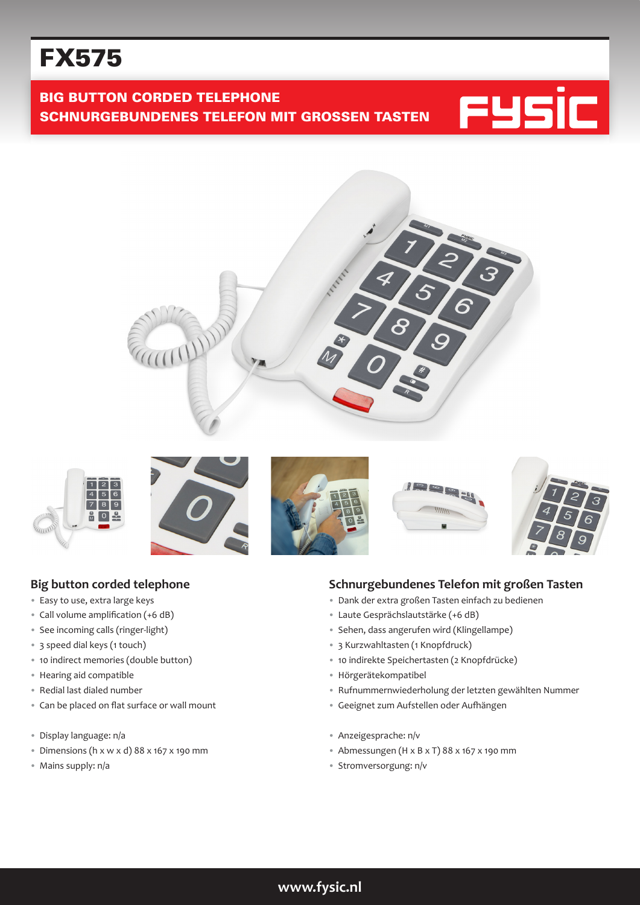# FX575

**BIG BUTTON CORDED TELEPHONE** SCHNURGEBUNDENES TELEFON MIT GROSSEN TASTEN















### **Big button corded telephone**

- Easy to use, extra large keys
- Call volume amplification (+6 dB)
- See incoming calls (ringer-light)
- 3 speed dial keys (1 touch)
- 10 indirect memories (double button)
- Hearing aid compatible
- Redial last dialed number
- Can be placed on flat surface or wall mount
- Display language: n/a
- Dimensions (h  $x \le x d$ ) 88  $x$  167  $x$  190 mm
- Mains supply: n/a

#### **Schnurgebundenes Telefon mit großen Tasten**

- Dank der extra großen Tasten einfach zu bedienen
- Laute Gesprächslautstärke (+6 dB)
- Sehen, dass angerufen wird (Klingellampe)
- 3 Kurzwahltasten (1 Knopfdruck)
- 10 indirekte Speichertasten (2 Knopfdrücke)
- Hörgerätekompatibel
- Rufnummernwiederholung der letzten gewählten Nummer
- Geeignet zum Aufstellen oder Aufhängen
- Anzeigesprache: n/v
- Abmessungen (H x B x T) 88 x 167 x 190 mm
- Stromversorgung: n/v

## **www.fysic.nl**